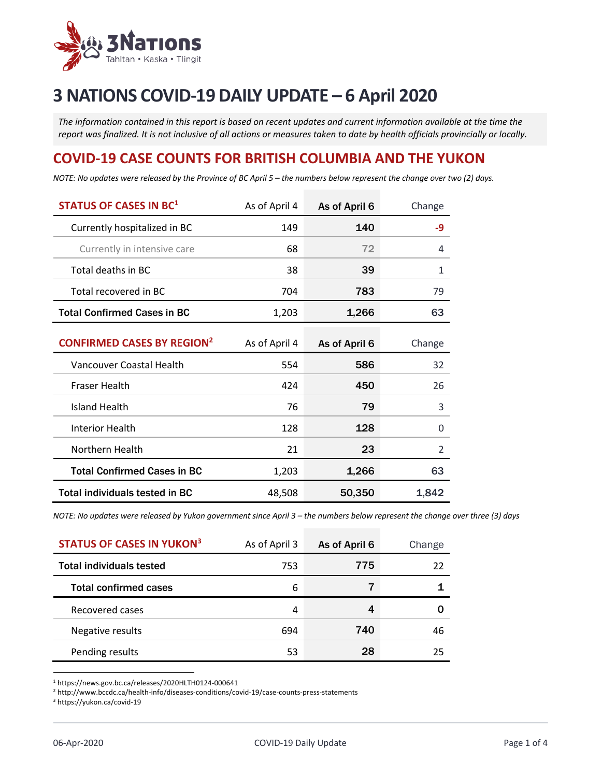

# **3 NATIONS COVID-19 DAILY UPDATE – 6 April 2020**

*The information contained in this report is based on recent updates and current information available at the time the report was finalized. It is not inclusive of all actions or measures taken to date by health officials provincially or locally.*

## **COVID-19 CASE COUNTS FOR BRITISH COLUMBIA AND THE YUKON**

NOTE: No updates were released by the Province of BC April 5 - the numbers below represent the change over two (2) days.

| <b>STATUS OF CASES IN BC1</b>                | As of April 4 | As of April 6 | Change |
|----------------------------------------------|---------------|---------------|--------|
| Currently hospitalized in BC                 | 149           | 140           | -9     |
| Currently in intensive care                  | 68            | 72            | 4      |
| Total deaths in BC                           | 38            | 39            | 1      |
| Total recovered in BC                        | 704           | 783           | 79     |
| <b>Total Confirmed Cases in BC</b>           | 1,203         | 1,266         | 63     |
| <b>CONFIRMED CASES BY REGION<sup>2</sup></b> | As of April 4 | As of April 6 | Change |
| Vancouver Coastal Health                     | 554           | 586           | 32     |
| <b>Fraser Health</b>                         | 424           | 450           | 26     |
| <b>Island Health</b>                         | 76            | 79            | 3      |
| <b>Interior Health</b>                       | 128           | 128           | 0      |
| Northern Health                              | 21            | 23            | 2      |
| <b>Total Confirmed Cases in BC</b>           | 1,203         | 1,266         | 63     |
| <b>Total individuals tested in BC</b>        | 48,508        | 50,350        | 1,842  |

NOTE: No updates were released by Yukon government since April 3 - the numbers below represent the change over three (3) days

| <b>STATUS OF CASES IN YUKON3</b> | As of April 3 | As of April 6 | Change |
|----------------------------------|---------------|---------------|--------|
| <b>Total individuals tested</b>  | 753           | 775           | 22     |
| <b>Total confirmed cases</b>     | 6             |               |        |
| Recovered cases                  | 4             |               |        |
| Negative results                 | 694           | 740           | 46     |
| Pending results                  | 53            | 28            | 25     |

<sup>1</sup> https://news.gov.bc.ca/releases/2020HLTH0124-000641

<sup>2</sup> http://www.bccdc.ca/health-info/diseases-conditions/covid-19/case-counts-press-statements

<sup>3</sup> https://yukon.ca/covid-19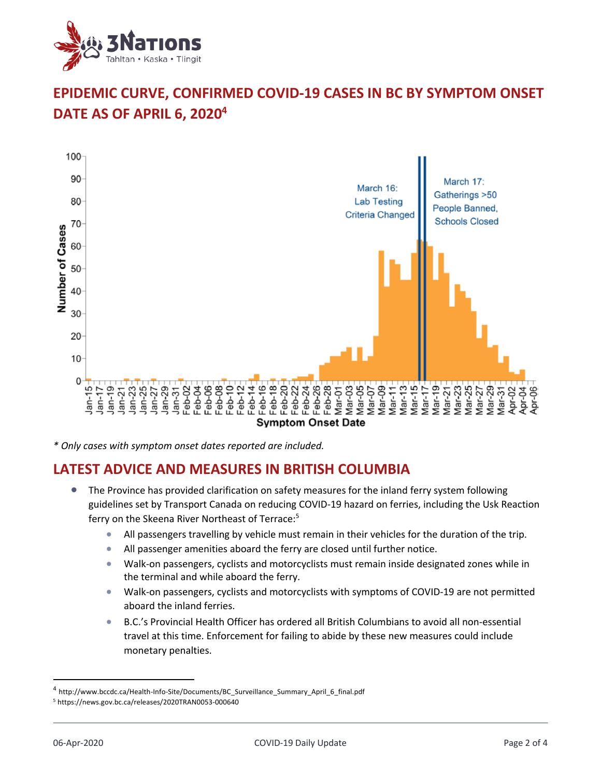

## **EPIDEMIC CURVE, CONFIRMED COVID-19 CASES IN BC BY SYMPTOM ONSET DATE AS OF APRIL 6, 20204**



*\* Only cases with symptom onset dates reported are included.*

### **LATEST ADVICE AND MEASURES IN BRITISH COLUMBIA**

- The Province has provided clarification on safety measures for the inland ferry system following guidelines set by Transport Canada on reducing COVID-19 hazard on ferries, including the Usk Reaction ferry on the Skeena River Northeast of Terrace:<sup>5</sup>
	- All passengers travelling by vehicle must remain in their vehicles for the duration of the trip.
	- All passenger amenities aboard the ferry are closed until further notice.
	- Walk-on passengers, cyclists and motorcyclists must remain inside designated zones while in the terminal and while aboard the ferry.
	- Walk-on passengers, cyclists and motorcyclists with symptoms of COVID-19 are not permitted aboard the inland ferries.
	- B.C.'s Provincial Health Officer has ordered all British Columbians to avoid all non-essential travel at this time. Enforcement for failing to abide by these new measures could include monetary penalties.

<sup>4</sup> http://www.bccdc.ca/Health-Info-Site/Documents/BC\_Surveillance\_Summary\_April\_6\_final.pdf

<sup>5</sup> https://news.gov.bc.ca/releases/2020TRAN0053-000640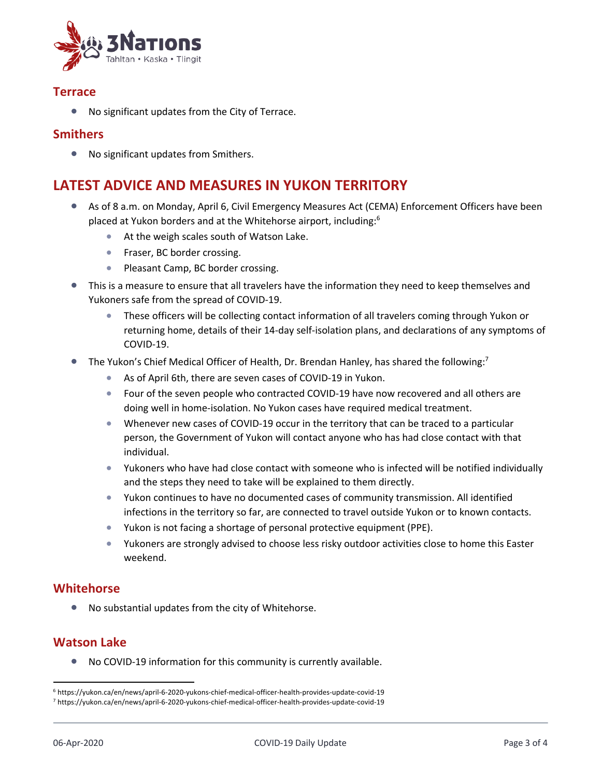

#### **Terrace**

• No significant updates from the City of Terrace.

#### **Smithers**

• No significant updates from Smithers.

## **LATEST ADVICE AND MEASURES IN YUKON TERRITORY**

- As of 8 a.m. on Monday, April 6, Civil Emergency Measures Act (CEMA) Enforcement Officers have been placed at Yukon borders and at the Whitehorse airport, including:<sup>6</sup>
	- At the weigh scales south of Watson Lake.
	- Fraser, BC border crossing.
	- Pleasant Camp, BC border crossing.
- This is a measure to ensure that all travelers have the information they need to keep themselves and Yukoners safe from the spread of COVID-19.
	- These officers will be collecting contact information of all travelers coming through Yukon or returning home, details of their 14-day self-isolation plans, and declarations of any symptoms of COVID-19.
- The Yukon's Chief Medical Officer of Health, Dr. Brendan Hanley, has shared the following:<sup>7</sup>
	- As of April 6th, there are seven cases of COVID-19 in Yukon.
	- Four of the seven people who contracted COVID-19 have now recovered and all others are doing well in home-isolation. No Yukon cases have required medical treatment.
	- Whenever new cases of COVID-19 occur in the territory that can be traced to a particular person, the Government of Yukon will contact anyone who has had close contact with that individual.
	- Yukoners who have had close contact with someone who is infected will be notified individually and the steps they need to take will be explained to them directly.
	- Yukon continues to have no documented cases of community transmission. All identified infections in the territory so far, are connected to travel outside Yukon or to known contacts.
	- Yukon is not facing a shortage of personal protective equipment (PPE).
	- Yukoners are strongly advised to choose less risky outdoor activities close to home this Easter weekend.

#### **Whitehorse**

• No substantial updates from the city of Whitehorse.

#### **Watson Lake**

• No COVID-19 information for this community is currently available.

<sup>6</sup> https://yukon.ca/en/news/april-6-2020-yukons-chief-medical-officer-health-provides-update-covid-19

<sup>7</sup> https://yukon.ca/en/news/april-6-2020-yukons-chief-medical-officer-health-provides-update-covid-19